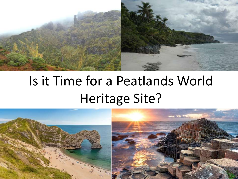

# Is it Time for a Peatlands World Heritage Site?

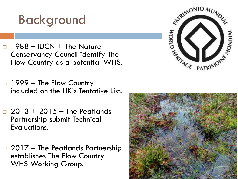## Background

- $\Box$  1988 IUCN + The Nature Conservancy Council identify The Flow Country as a potential WHS.
- $\Box$  1999 The Flow Country included on the UK's Tentative List.
- $\Box$  2013 + 2015 The Peatlands Partnership submit Technical Evaluations.
- $\Box$  2017 The Peatlands Partnership establishes The Flow Country WHS Working Group.



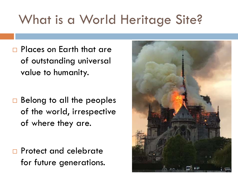## What is a World Heritage Site?

**Places on Earth that are** of outstanding universal value to humanity.

 $\Box$  Belong to all the peoples of the world, irrespective of where they are.

**Protect and celebrate** for future generations.

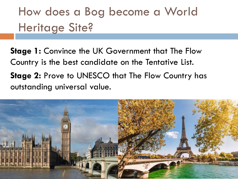How does a Bog become a World Heritage Site?

**Stage 1:** Convince the UK Government that The Flow Country is the best candidate on the Tentative List. **Stage 2: Prove to UNESCO that The Flow Country has** outstanding universal value.

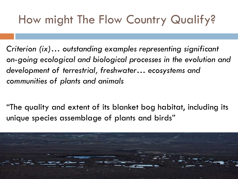## How might The Flow Country Qualify?

*Criterion (ix)… outstanding examples representing significant on-going ecological and biological processes in the evolution and development of terrestrial, freshwater… ecosystems and communities of plants and animals*

"The quality and extent of its blanket bog habitat, including its unique species assemblage of plants and birds"

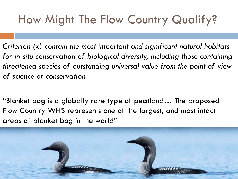## How Might The Flow Country Qualify?

*Criterion (x) contain the most important and significant natural habitats for in-situ conservation of biological diversity, including those containing threatened species of outstanding universal value from the point of view of science or conservation*

"Blanket bog is a globally rare type of peatland… The proposed Flow Country WHS represents one of the largest, and most intact areas of blanket bog in the world"

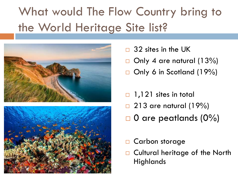## What would The Flow Country bring to the World Heritage Site list?





- $\Box$  32 sites in the UK
- $\Box$  Only 4 are natural (13%)
- $\Box$  Only 6 in Scotland (19%)
- $\Box$  1,121 sites in total
- $\Box$  213 are natural (19%)
- $\Box$  0 are peatlands (0%)
- □ Carbon storage
- □ Cultural heritage of the North **Highlands**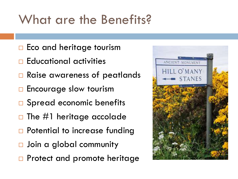## What are the Benefits?

- $\Box$  Eco and heritage tourism
- $\Box$  Educational activities
- **□ Raise awareness of peatlands**
- □ Encourage slow tourism
- □ Spread economic benefits
- $\Box$  The #1 heritage accolade
- □ Potential to increase funding
- □ Join a global community
- □ Protect and promote heritage

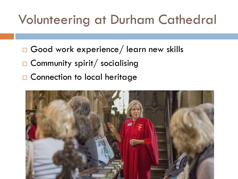## Volunteering at Durham Cathedral

- □ Good work experience/ learn new skills
- $\Box$  Community spirit/ socialising
- □ Connection to local heritage

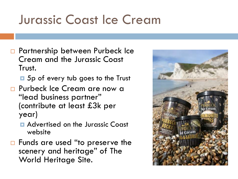## Jurassic Coast Ice Cream

- □ Partnership between Purbeck Ice Cream and the Jurassic Coast Trust.
	- **E** 5p of every tub goes to the Trust
- **Purbeck Ice Cream are now a** "lead business partner" (contribute at least £3k per year)
	- Advertised on the Jurassic Coast website
- □ Funds are used "to preserve the scenery and heritage" of The World Heritage Site.

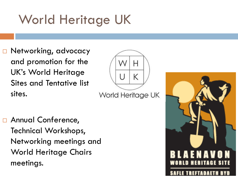## World Heritage UK

□ Networking, advocacy and promotion for the UK's World Heritage Sites and Tentative list sites.



**D** Annual Conference, Technical Workshops, Networking meetings and World Heritage Chairs meetings.

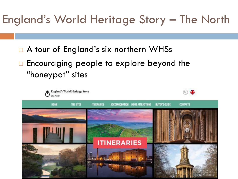### England's World Heritage Story – The North

- □ A tour of England's six northern WHSs
- □ Encouraging people to explore beyond the "honeypot" sites

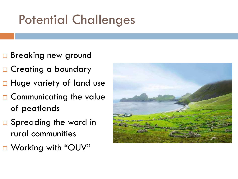## Potential Challenges

- □ Breaking new ground
- □ Creating a boundary
- □ Huge variety of land use
- □ Communicating the value of peatlands
- □ Spreading the word in rural communities
- □ Working with "OUV"

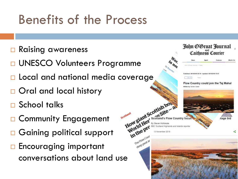## Benefits of the Process

- **□ Raising awareness**
- □ UNESCO Volunteers Programme
- D Local and national media coverage
- □ Oral and local history
- □ School talks
- □ Community Engagement
- □ Gaining political support
- □ Encouraging important conversations about land use

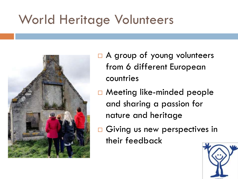## World Heritage Volunteers



- □ A group of young volunteers from 6 different European countries
- □ Meeting like-minded people and sharing a passion for nature and heritage
- Giving us new perspectives in their feedback

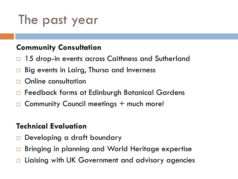## The past year

#### **Community Consultation**

- 15 drop-in events across Caithness and Sutherland
- Big events in Lairg, Thurso and Inverness
- Online consultation
- □ Feedback forms at Edinburgh Botanical Gardens
- Community Council meetings + much more!

#### **Technical Evaluation**

- Developing a draft boundary
- Bringing in planning and World Heritage expertise
- Liaising with UK Government and advisory agencies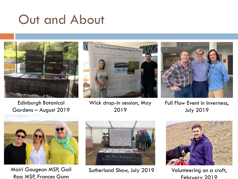## Out and About



Edinburgh Botanical Gardens – August 2019



Wick drop-in session, May 2019



Full Flow Event in Inverness, July 2019



Mairi Gougeon MSP, Gail Ross MSP, Frances Gunn



Sutherland Show, July 2019 Volunteering on a croft,



February 2019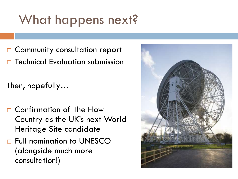## What happens next?

 Community consultation report Technical Evaluation submission

Then, hopefully…

- □ Confirmation of The Flow Country as the UK's next World Heritage Site candidate
- □ Full nomination to UNESCO (alongside much more consultation!)